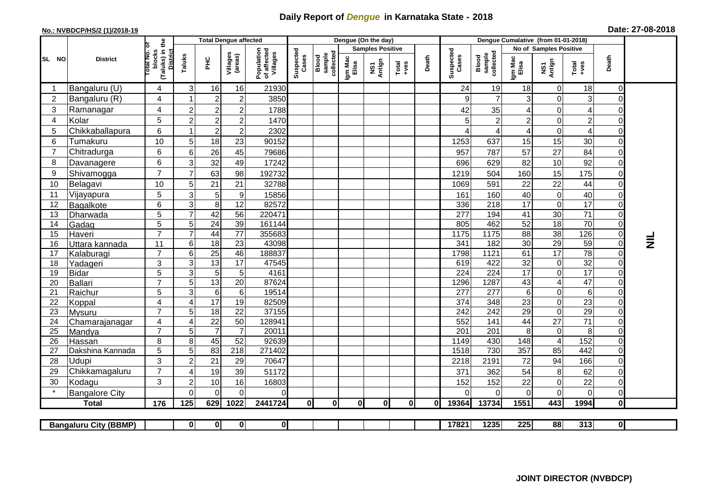## **Daily Report of** *Dengue* **in Karnataka State - 2018**

## **No.: NVBDCP/HS/2 (1)/2018-19 Date: 27-08-2018**

|                                                                                                                                                       | <b>District</b>       |                                               | <b>Total Dengue affected</b> |                 |                        |                                       |                    |                              |                         | Dengue (On the day) |                                                              |              |                    |                              |                        |                      |                         |                                  |                 |
|-------------------------------------------------------------------------------------------------------------------------------------------------------|-----------------------|-----------------------------------------------|------------------------------|-----------------|------------------------|---------------------------------------|--------------------|------------------------------|-------------------------|---------------------|--------------------------------------------------------------|--------------|--------------------|------------------------------|------------------------|----------------------|-------------------------|----------------------------------|-----------------|
| SL NO                                                                                                                                                 |                       | Ö                                             |                              |                 |                        |                                       |                    | collectec<br>sample<br>Blood | <b>Samples Positive</b> |                     |                                                              |              |                    |                              | No of Samples Positive |                      |                         |                                  |                 |
|                                                                                                                                                       |                       | (Taluks) in the<br><b>Total No.</b><br>blocks | Taluks                       | ŦЕ              | Villages<br>(areas)    | Population<br>of affected<br>Villages | Suspected<br>Cases |                              | Igm Mac<br>Elisa        | NS1<br>Antign       | $\begin{array}{c}\n\text{Total} \\ \text{Area}\n\end{array}$ | Death        | Suspected<br>Cases | sample<br>collected<br>Blood | Igm Mac<br>Elisa       | NS1<br>Antign        | Total<br>+ves           | Death                            |                 |
|                                                                                                                                                       | Bangaluru (U)         | 4                                             | 3                            | 16              | 16                     | 21930                                 |                    |                              |                         |                     |                                                              |              | 24                 | 19                           | 18                     | 0                    | 18                      | 0                                |                 |
| $\overline{2}$                                                                                                                                        | Bangaluru (R)         | 4                                             |                              | $\overline{2}$  | $\overline{2}$         | 3850                                  |                    |                              |                         |                     |                                                              |              | 9                  | $\overline{7}$               | 3                      | $\mathbf 0$          | 3                       | 0                                |                 |
| $\sqrt{3}$                                                                                                                                            | Ramanagar             | 4                                             | $\overline{2}$               | $\overline{2}$  | $\overline{2}$         | 1788                                  |                    |                              |                         |                     |                                                              |              | 42                 | 35                           | 4                      | $\mathbf 0$          | 4                       | 0                                |                 |
| 4                                                                                                                                                     | Kolar                 | 5                                             | $\overline{2}$               | $\overline{a}$  | $\overline{2}$         | 1470                                  |                    |                              |                         |                     |                                                              |              | 5                  | $\mathbf 2$                  | $\overline{c}$         | $\mathbf 0$          | $\overline{\mathbf{c}}$ | $\Omega$                         |                 |
| 5                                                                                                                                                     | Chikkaballapura       | 6                                             |                              | $\overline{c}$  | $\overline{2}$         | 2302                                  |                    |                              |                         |                     |                                                              |              | 4                  | 4                            | 4                      | $\mathbf 0$          | $\overline{4}$          | $\overline{0}$                   |                 |
| 6                                                                                                                                                     | Tumakuru              | 10                                            | 5                            | 18              | 23                     | 90152                                 |                    |                              |                         |                     |                                                              |              | 1253               | 637                          | 15                     | 15                   | 30                      | $\overline{0}$                   |                 |
| $\overline{7}$                                                                                                                                        | Chitradurga           | 6                                             | 6                            | 26              | 45                     | 79686                                 |                    |                              |                         |                     |                                                              |              | 957                | 787                          | 57                     | 27                   | 84                      | $\Omega$                         |                 |
| 8                                                                                                                                                     | Davanagere            | 6                                             | 3                            | 32              | 49                     | 17242                                 |                    |                              |                         |                     |                                                              |              | 696                | 629                          | 82                     | 10                   | 92                      | $\overline{0}$                   |                 |
| 9                                                                                                                                                     | Shivamogga            | $\overline{7}$                                | 7                            | 63              | 98                     | 192732                                |                    |                              |                         |                     |                                                              |              | 1219               | 504                          | 160                    | 15                   | 175                     | $\overline{0}$                   |                 |
| 10                                                                                                                                                    | Belagavi              | 10                                            | 5                            | 21              | 21                     | 32788                                 |                    |                              |                         |                     |                                                              |              | 1069               | 591                          | 22                     | 22                   | 44                      | $\Omega$                         |                 |
| 11                                                                                                                                                    | Vijayapura            | 5                                             | 3                            | 5               | $\boldsymbol{9}$       | 15856                                 |                    |                              |                         |                     |                                                              |              | 161                | 160                          | 40                     | $\mathbf 0$          | 40                      | 0                                |                 |
| 12                                                                                                                                                    | Bagalkote             | 6                                             | 3                            | 8               | 12                     | 82572                                 |                    |                              |                         |                     |                                                              |              | 336                | 218                          | 17                     | $\mathbf 0$          | $\overline{17}$         | $\overline{0}$                   |                 |
| 13                                                                                                                                                    | Dharwada              | $\overline{5}$                                | $\overline{7}$               | 42              | 56                     | 220471                                |                    |                              |                         |                     |                                                              |              | $\overline{277}$   | 194                          | $\overline{41}$        | 30                   | $\overline{71}$         | $\overline{0}$                   |                 |
| 14                                                                                                                                                    | Gadag                 | 5                                             | 5                            | $\overline{24}$ | 39                     | 161144                                |                    |                              |                         |                     |                                                              |              | 805                | 462                          | 52                     | 18                   | 70                      | $\overline{0}$                   |                 |
| 15                                                                                                                                                    | Haveri                | $\overline{7}$                                | 7                            | 44              | 77                     | 355683                                |                    |                              |                         |                     |                                                              |              | 1175               | 1175                         | 88                     | 38                   | 126                     | $\overline{0}$                   |                 |
| 16                                                                                                                                                    | Uttara kannada        | 11                                            | 6                            | 18              | $\overline{23}$        | 43098                                 |                    |                              |                         |                     |                                                              |              | 341                | 182                          | $\overline{30}$        | 29                   | 59                      | $\overline{0}$                   | $\vec{\bar{z}}$ |
| 17                                                                                                                                                    | Kalaburagi            | $\overline{7}$                                | 6                            | $\overline{25}$ | 46                     | 188837                                |                    |                              |                         |                     |                                                              |              | 1798               | 1121                         | 61                     | $\overline{17}$      | $\overline{78}$         | $\overline{0}$                   |                 |
| 18                                                                                                                                                    | Yadageri              | 3                                             | 3                            | 13              | 17                     | 47545                                 |                    |                              |                         |                     |                                                              |              | 619                | 422                          | 32                     | $\mathbf 0$          | 32                      | $\overline{0}$                   |                 |
| 19                                                                                                                                                    | Bidar                 | 5                                             | 3                            | 5               | 5                      | 4161                                  |                    |                              |                         |                     |                                                              |              | 224                | 224                          | $\overline{17}$        | $\mathbf 0$          | 17                      | $\overline{0}$                   |                 |
| 20                                                                                                                                                    | Ballari               | $\overline{7}$                                | 5                            | 13              | $\overline{20}$        | 87624                                 |                    |                              |                         |                     |                                                              |              | 1296               | 1287                         | 43                     | $\overline{4}$       | 47                      | $\overline{0}$                   |                 |
| 21                                                                                                                                                    | Raichur               | 5                                             | 3                            | $6\phantom{1}6$ | $6\phantom{1}6$        | 19514                                 |                    |                              |                         |                     |                                                              |              | 277                | $\overline{277}$             | 6                      | $\mathbf 0$          | $\sigma$                | $\overline{0}$                   |                 |
| 22                                                                                                                                                    | Koppal                | 4                                             | $\boldsymbol{\Delta}$        | 17              | 19                     | 82509                                 |                    |                              |                         |                     |                                                              |              | 374                | 348                          | 23                     | $\mathbf 0$          | 23                      | $\overline{0}$                   |                 |
| 23                                                                                                                                                    | <b>Mysuru</b>         | $\overline{7}$                                | 5                            | 18              | 22                     | 37155                                 |                    |                              |                         |                     |                                                              |              | 242                | 242                          | 29                     | $\mathbf 0$          | $\overline{29}$         | $\overline{0}$                   |                 |
| 24                                                                                                                                                    | Chamarajanagar        | 4                                             | 4                            | $\overline{22}$ | 50                     | 128941                                |                    |                              |                         |                     |                                                              |              | 552                | 141                          | 44                     | $\overline{27}$      | $\overline{71}$         | $\overline{0}$                   |                 |
| 25                                                                                                                                                    | Mandya                | $\overline{7}$                                | 5                            | $\overline{7}$  | $\overline{7}$         | 20011                                 |                    |                              |                         |                     |                                                              |              | $\overline{201}$   | 201                          | 8                      | 0                    | 8                       | $\overline{0}$<br>$\overline{0}$ |                 |
| 26                                                                                                                                                    | Hassan                | 8<br>5                                        | 8<br>5                       | 45<br>83        | 52<br>$\overline{218}$ | 92639<br>271402                       |                    |                              |                         |                     |                                                              |              | 1149<br>1518       | 430<br>730                   | 148<br>357             | $\overline{4}$<br>85 | 152<br>442              | $\overline{0}$                   |                 |
| 27                                                                                                                                                    | Dakshina Kannada      | 3                                             |                              |                 |                        |                                       |                    |                              |                         |                     |                                                              |              |                    |                              |                        |                      |                         |                                  |                 |
| 28                                                                                                                                                    | Udupi                 |                                               | $\overline{2}$               | 21              | 29                     | 70647                                 |                    |                              |                         |                     |                                                              |              | 2218               | 2191                         | 72                     | 94                   | 166                     | $\overline{0}$                   |                 |
| 29                                                                                                                                                    | Chikkamagaluru        | $\overline{7}$                                | ∠                            | 19              | 39                     | 51172                                 |                    |                              |                         |                     |                                                              |              | 371                | 362                          | 54                     | 8                    | 62                      | ΟI                               |                 |
| 30                                                                                                                                                    | Kodagu                | 3                                             | $\overline{2}$               | 10              | 16                     | 16803                                 |                    |                              |                         |                     |                                                              |              | 152                | 152                          | 22                     | $\mathbf 0$          | 22                      | $\overline{0}$                   |                 |
|                                                                                                                                                       | <b>Bangalore City</b> |                                               | $\Omega$                     | $\Omega$        | $\Omega$               | 0                                     |                    |                              |                         |                     |                                                              |              | 0                  | $\Omega$                     | 0                      | $\Omega$             | 0                       | $\overline{0}$                   |                 |
|                                                                                                                                                       | <b>Total</b>          | 176                                           | 125                          | 629             | 1022                   | 2441724                               | 0                  | 0                            | 0I                      | $\mathbf{0}$        | $\mathbf{0}$                                                 | $\mathbf{0}$ | 19364              | 13734                        | 1551                   | 443                  | 1994                    | $\mathbf{0}$                     |                 |
| $\overline{\mathbf{0}}$<br>$\overline{0}$<br>17821<br>1235<br>225<br>88<br>313<br>$\overline{0}$<br>$\mathbf{0}$<br><b>Bangaluru City (BBMP)</b><br>0 |                       |                                               |                              |                 |                        |                                       |                    |                              |                         |                     |                                                              |              |                    |                              |                        |                      |                         |                                  |                 |